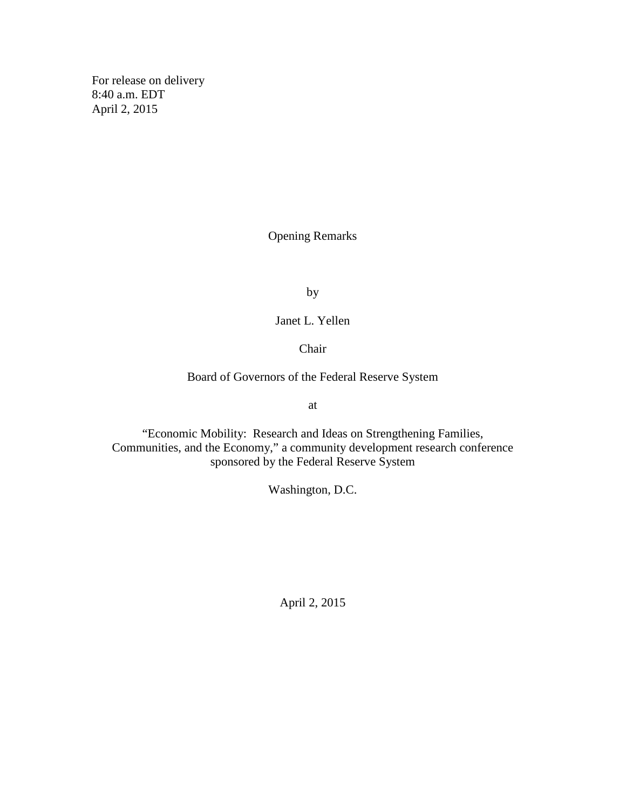For release on delivery 8:40 a.m. EDT April 2, 2015

Opening Remarks

by

Janet L. Yellen

Chair

Board of Governors of the Federal Reserve System

at

"Economic Mobility: Research and Ideas on Strengthening Families, Communities, and the Economy," a community development research conference sponsored by the Federal Reserve System

Washington, D.C.

April 2, 2015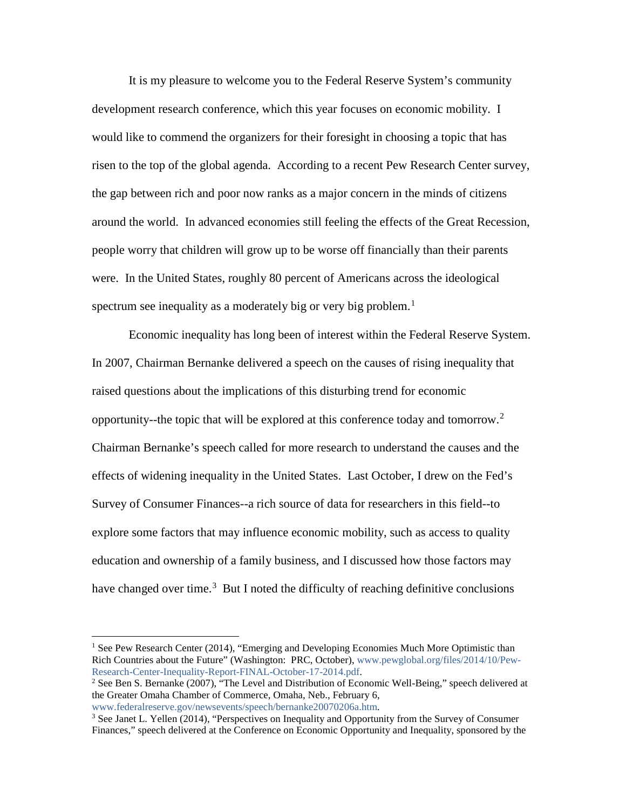It is my pleasure to welcome you to the Federal Reserve System's community development research conference, which this year focuses on economic mobility. I would like to commend the organizers for their foresight in choosing a topic that has risen to the top of the global agenda. According to a recent Pew Research Center survey, the gap between rich and poor now ranks as a major concern in the minds of citizens around the world. In advanced economies still feeling the effects of the Great Recession, people worry that children will grow up to be worse off financially than their parents were. In the United States, roughly 80 percent of Americans across the ideological spectrum see inequality as a moderately big or very big problem.<sup>[1](#page-1-0)</sup>

Economic inequality has long been of interest within the Federal Reserve System. In 2007, Chairman Bernanke delivered a speech on the causes of rising inequality that raised questions about the implications of this disturbing trend for economic opportunity--the topic that will be explored at this conference today and tomorrow.<sup>[2](#page-1-1)</sup> Chairman Bernanke's speech called for more research to understand the causes and the effects of widening inequality in the United States. Last October, I drew on the Fed's Survey of Consumer Finances--a rich source of data for researchers in this field--to explore some factors that may influence economic mobility, such as access to quality education and ownership of a family business, and I discussed how those factors may have changed over time.<sup>[3](#page-1-2)</sup> But I noted the difficulty of reaching definitive conclusions

 $\overline{a}$ 

<span id="page-1-0"></span><sup>&</sup>lt;sup>1</sup> See Pew Research Center (2014), "Emerging and Developing Economies Much More Optimistic than Rich Countries about the Future" (Washington: PRC, October), [www.pewglobal.org/files/2014/10/Pew-](http://www.pewglobal.org/files/2014/10/Pew-Research-Center-Inequality-Report-FINAL-October-17-2014.pdf)[Research-Center-Inequality-Report-FINAL-October-17-2014.pdf.](http://www.pewglobal.org/files/2014/10/Pew-Research-Center-Inequality-Report-FINAL-October-17-2014.pdf)

<span id="page-1-1"></span><sup>&</sup>lt;sup>2</sup> See Ben S. Bernanke (2007), "The Level and Distribution of Economic Well-Being," speech delivered at the Greater Omaha Chamber of Commerce, Omaha, Neb., February 6,

<span id="page-1-2"></span>[www.federalreserve.gov/newsevents/speech/bernanke20070206a.htm.](http://www.federalreserve.gov/newsevents/speech/bernanke20070206a.htm)<br><sup>3</sup> See Janet L. Yellen (2014), "Perspectives on Inequality and Opportunity from the Survey of Consumer Finances," speech delivered at the Conference on Economic Opportunity and Inequality, sponsored by the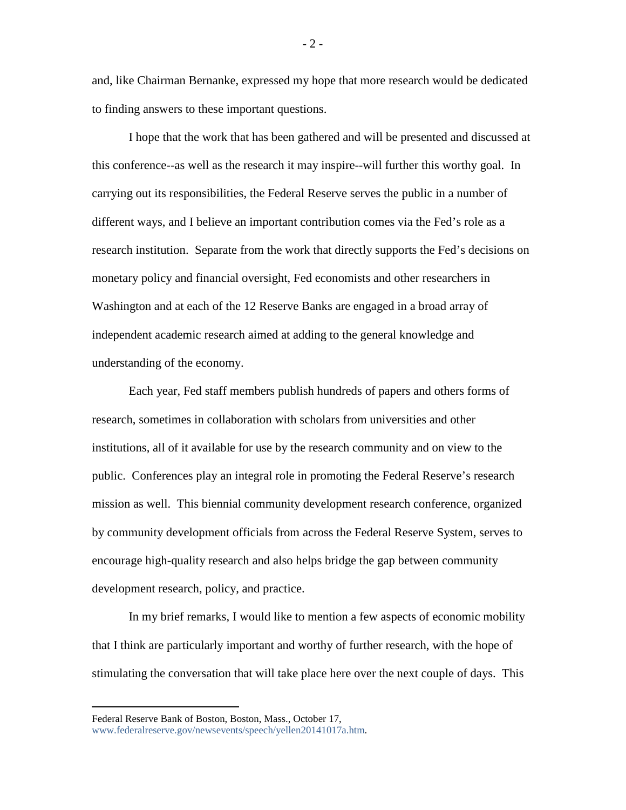and, like Chairman Bernanke, expressed my hope that more research would be dedicated to finding answers to these important questions.

I hope that the work that has been gathered and will be presented and discussed at this conference--as well as the research it may inspire--will further this worthy goal. In carrying out its responsibilities, the Federal Reserve serves the public in a number of different ways, and I believe an important contribution comes via the Fed's role as a research institution. Separate from the work that directly supports the Fed's decisions on monetary policy and financial oversight, Fed economists and other researchers in Washington and at each of the 12 Reserve Banks are engaged in a broad array of independent academic research aimed at adding to the general knowledge and understanding of the economy.

Each year, Fed staff members publish hundreds of papers and others forms of research, sometimes in collaboration with scholars from universities and other institutions, all of it available for use by the research community and on view to the public. Conferences play an integral role in promoting the Federal Reserve's research mission as well. This biennial community development research conference, organized by community development officials from across the Federal Reserve System, serves to encourage high-quality research and also helps bridge the gap between community development research, policy, and practice.

In my brief remarks, I would like to mention a few aspects of economic mobility that I think are particularly important and worthy of further research, with the hope of stimulating the conversation that will take place here over the next couple of days. This

 $\overline{a}$ 

 $-2-$ 

Federal Reserve Bank of Boston, Boston, Mass., October 17, [www.federalreserve.gov/newsevents/speech/yellen20141017a.htm.](http://www.federalreserve.gov/newsevents/speech/yellen20141017a.htm)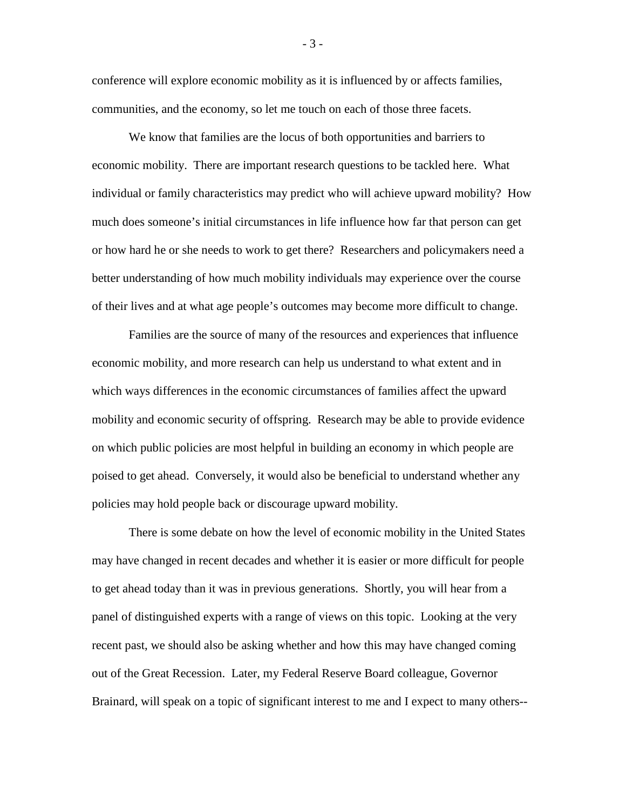conference will explore economic mobility as it is influenced by or affects families, communities, and the economy, so let me touch on each of those three facets.

We know that families are the locus of both opportunities and barriers to economic mobility. There are important research questions to be tackled here. What individual or family characteristics may predict who will achieve upward mobility? How much does someone's initial circumstances in life influence how far that person can get or how hard he or she needs to work to get there? Researchers and policymakers need a better understanding of how much mobility individuals may experience over the course of their lives and at what age people's outcomes may become more difficult to change.

Families are the source of many of the resources and experiences that influence economic mobility, and more research can help us understand to what extent and in which ways differences in the economic circumstances of families affect the upward mobility and economic security of offspring. Research may be able to provide evidence on which public policies are most helpful in building an economy in which people are poised to get ahead. Conversely, it would also be beneficial to understand whether any policies may hold people back or discourage upward mobility.

There is some debate on how the level of economic mobility in the United States may have changed in recent decades and whether it is easier or more difficult for people to get ahead today than it was in previous generations. Shortly, you will hear from a panel of distinguished experts with a range of views on this topic. Looking at the very recent past, we should also be asking whether and how this may have changed coming out of the Great Recession. Later, my Federal Reserve Board colleague, Governor Brainard, will speak on a topic of significant interest to me and I expect to many others--

- 3 -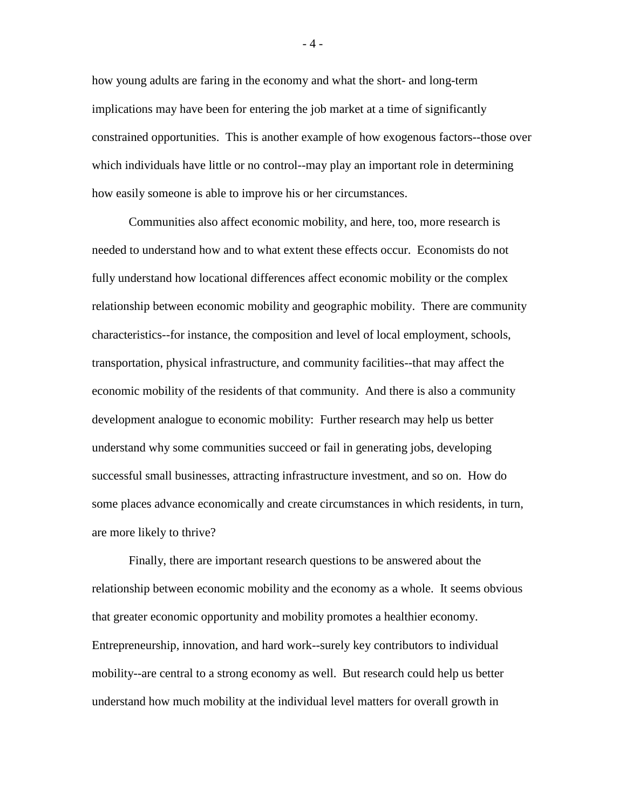how young adults are faring in the economy and what the short- and long-term implications may have been for entering the job market at a time of significantly constrained opportunities. This is another example of how exogenous factors--those over which individuals have little or no control--may play an important role in determining how easily someone is able to improve his or her circumstances.

Communities also affect economic mobility, and here, too, more research is needed to understand how and to what extent these effects occur. Economists do not fully understand how locational differences affect economic mobility or the complex relationship between economic mobility and geographic mobility. There are community characteristics--for instance, the composition and level of local employment, schools, transportation, physical infrastructure, and community facilities--that may affect the economic mobility of the residents of that community. And there is also a community development analogue to economic mobility: Further research may help us better understand why some communities succeed or fail in generating jobs, developing successful small businesses, attracting infrastructure investment, and so on. How do some places advance economically and create circumstances in which residents, in turn, are more likely to thrive?

Finally, there are important research questions to be answered about the relationship between economic mobility and the economy as a whole. It seems obvious that greater economic opportunity and mobility promotes a healthier economy. Entrepreneurship, innovation, and hard work--surely key contributors to individual mobility--are central to a strong economy as well. But research could help us better understand how much mobility at the individual level matters for overall growth in

 $-4-$